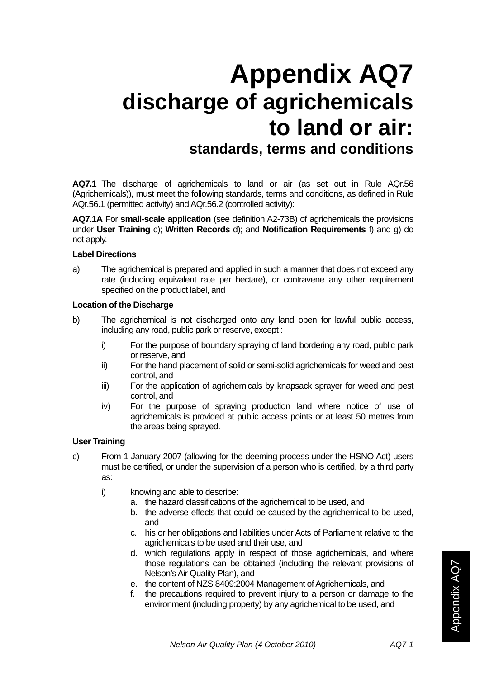# **Appendix AQ7 discharge of agrichemicals to land or air: standards, terms and conditions**

**AQ7.1** The discharge of agrichemicals to land or air (as set out in Rule AQr.56 (Agrichemicals)), must meet the following standards, terms and conditions, as defined in Rule AQr.56.1 (permitted activity) and AQr.56.2 (controlled activity):

**AQ7.1A** For **small-scale application** (see definition A2-73B) of agrichemicals the provisions under **User Training** c); **Written Records** d); and **Notification Requirements** f) and g) do not apply.

#### **Label Directions**

a) The agrichemical is prepared and applied in such a manner that does not exceed any rate (including equivalent rate per hectare), or contravene any other requirement specified on the product label, and

### **Location of the Discharge**

- b) The agrichemical is not discharged onto any land open for lawful public access, including any road, public park or reserve, except :
	- i) For the purpose of boundary spraying of land bordering any road, public park or reserve, and
	- ii) For the hand placement of solid or semi-solid agrichemicals for weed and pest control, and
	- iii) For the application of agrichemicals by knapsack sprayer for weed and pest control, and
	- iv) For the purpose of spraying production land where notice of use of agrichemicals is provided at public access points or at least 50 metres from the areas being sprayed.

### **User Training**

- c) From 1 January 2007 (allowing for the deeming process under the HSNO Act) users must be certified, or under the supervision of a person who is certified, by a third party as:
	- i) knowing and able to describe:
		- a. the hazard classifications of the agrichemical to be used, and
		- b. the adverse effects that could be caused by the agrichemical to be used, and
		- c. his or her obligations and liabilities under Acts of Parliament relative to the agrichemicals to be used and their use, and
		- d. which regulations apply in respect of those agrichemicals, and where those regulations can be obtained (including the relevant provisions of Nelson's Air Quality Plan), and
		- e. the content of NZS 8409:2004 Management of Agrichemicals, and
		- f. the precautions required to prevent injury to a person or damage to the environment (including property) by any agrichemical to be used, and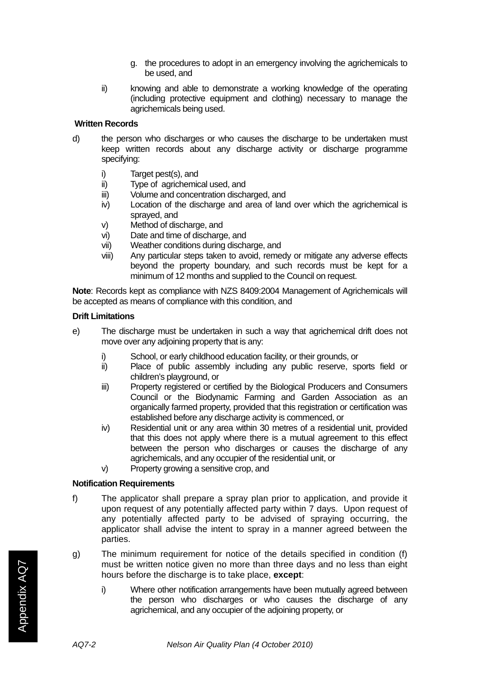- g. the procedures to adopt in an emergency involving the agrichemicals to be used, and
- ii) knowing and able to demonstrate a working knowledge of the operating (including protective equipment and clothing) necessary to manage the agrichemicals being used.

### **Written Records**

- d) the person who discharges or who causes the discharge to be undertaken must keep written records about any discharge activity or discharge programme specifying:
	- i) Target pest(s), and
	- ii) Type of agrichemical used, and
	- iii) Volume and concentration discharged, and
	- iv) Location of the discharge and area of land over which the agrichemical is sprayed, and
	- v) Method of discharge, and
	- vi) Date and time of discharge, and
	- vii) Weather conditions during discharge, and
	- viii) Any particular steps taken to avoid, remedy or mitigate any adverse effects beyond the property boundary, and such records must be kept for a minimum of 12 months and supplied to the Council on request.

**Note**: Records kept as compliance with NZS 8409:2004 Management of Agrichemicals will be accepted as means of compliance with this condition, and

### **Drift Limitations**

- e) The discharge must be undertaken in such a way that agrichemical drift does not move over any adjoining property that is any:
	- i) School, or early childhood education facility, or their grounds, or
	- ii) Place of public assembly including any public reserve, sports field or children's playground, or
	- iii) Property registered or certified by the Biological Producers and Consumers Council or the Biodynamic Farming and Garden Association as an organically farmed property, provided that this registration or certification was established before any discharge activity is commenced, or
	- iv) Residential unit or any area within 30 metres of a residential unit, provided that this does not apply where there is a mutual agreement to this effect between the person who discharges or causes the discharge of any agrichemicals, and any occupier of the residential unit, or
	- v) Property growing a sensitive crop, and

### **Notification Requirements**

- f) The applicator shall prepare a spray plan prior to application, and provide it upon request of any potentially affected party within 7 days. Upon request of any potentially affected party to be advised of spraying occurring, the applicator shall advise the intent to spray in a manner agreed between the parties.
- g) The minimum requirement for notice of the details specified in condition (f) must be written notice given no more than three days and no less than eight hours before the discharge is to take place, **except**:
	- i) Where other notification arrangements have been mutually agreed between the person who discharges or who causes the discharge of any agrichemical, and any occupier of the adjoining property, or